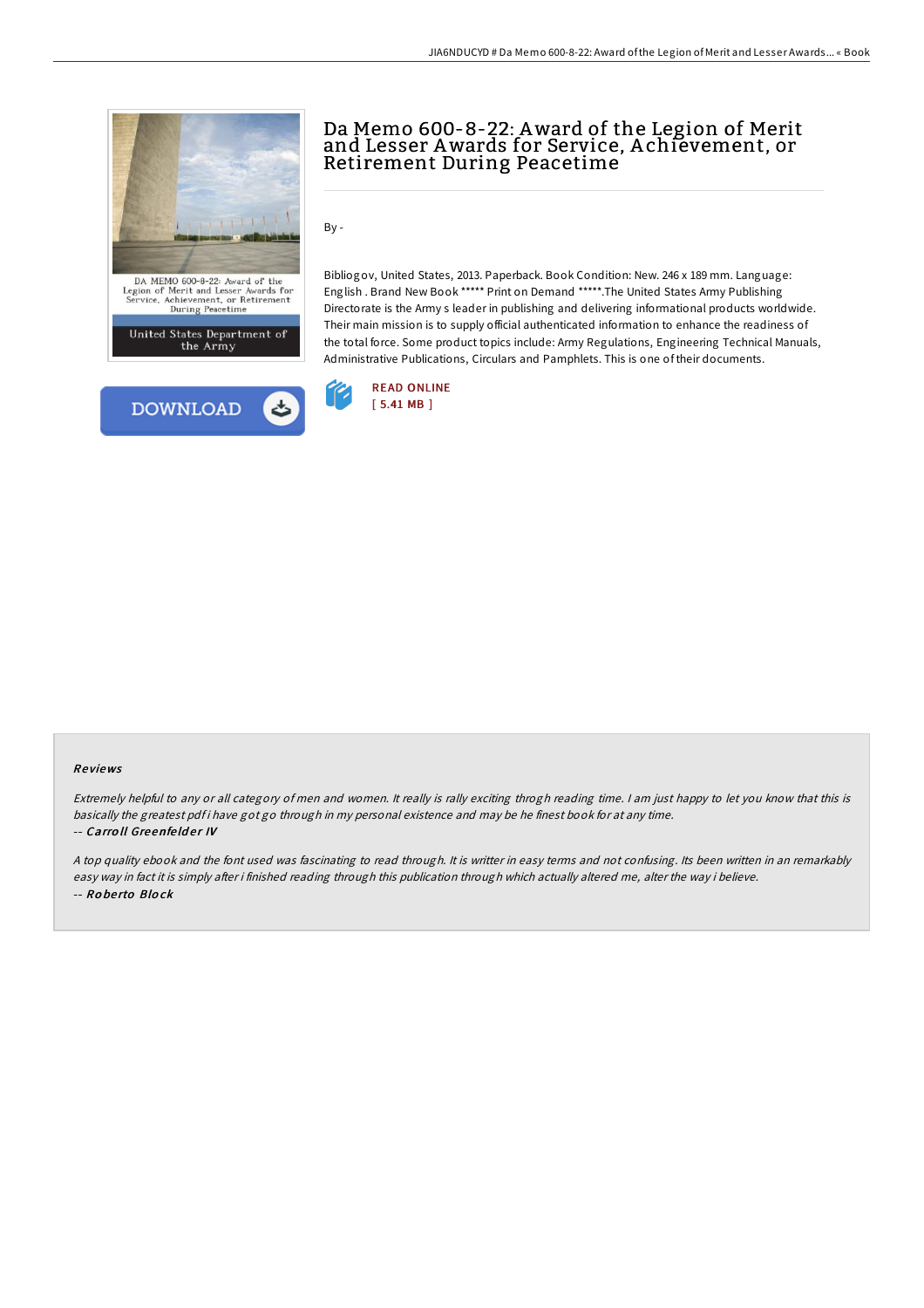



# Da Memo 600-8-22: Award of the Legion of Merit and Lesser Awards for Service, A chievement, or Retirement During Peacetime

By -

Bibliogov, United States, 2013. Paperback. Book Condition: New. 246 x 189 mm. Language: English . Brand New Book \*\*\*\*\* Print on Demand \*\*\*\*\*.The United States Army Publishing Directorate is the Army s leader in publishing and delivering informational products worldwide. Their main mission is to supply official authenticated information to enhance the readiness of the total force. Some product topics include: Army Regulations, Engineering Technical Manuals, Administrative Publications, Circulars and Pamphlets. This is one of their documents.



#### Re views

Extremely helpful to any or all category of men and women. It really is rally exciting throgh reading time. <sup>I</sup> am just happy to let you know that this is basically the greatest pdf i have got go through in my personal existence and may be he finest book for at any time. -- Carroll Greenfelder IV

<sup>A</sup> top quality ebook and the font used was fascinating to read through. It is writter in easy terms and not confusing. Its been written in an remarkably easy way in fact it is simply after i finished reading through this publication through which actually altered me, alter the way i believe. -- Ro be rto Blo ck